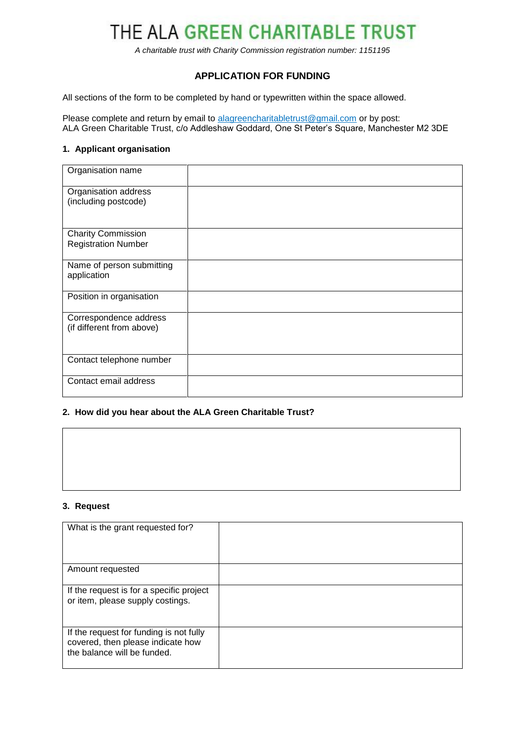# THE ALA GREEN CHARITABLE TRUST

*A charitable trust with Charity Commission registration number: 1151195*

## **APPLICATION FOR FUNDING**

All sections of the form to be completed by hand or typewritten within the space allowed.

Please complete and return by email to [alagreencharitabletrust@gmail.com](mailto:alagreencharitabletrust@gmail.com) or by post: ALA Green Charitable Trust, c/o Addleshaw Goddard, One St Peter's Square, Manchester M2 3DE

#### **1. Applicant organisation**

| Organisation name                                       |  |
|---------------------------------------------------------|--|
| Organisation address<br>(including postcode)            |  |
| <b>Charity Commission</b><br><b>Registration Number</b> |  |
| Name of person submitting<br>application                |  |
| Position in organisation                                |  |
| Correspondence address<br>(if different from above)     |  |
| Contact telephone number                                |  |
| Contact email address                                   |  |

### **2. How did you hear about the ALA Green Charitable Trust?**

| 3. Request |  |  |  |
|------------|--|--|--|

### **3. Request**

| What is the grant requested for?                                                                            |  |
|-------------------------------------------------------------------------------------------------------------|--|
| Amount requested                                                                                            |  |
| If the request is for a specific project<br>or item, please supply costings.                                |  |
| If the request for funding is not fully<br>covered, then please indicate how<br>the balance will be funded. |  |